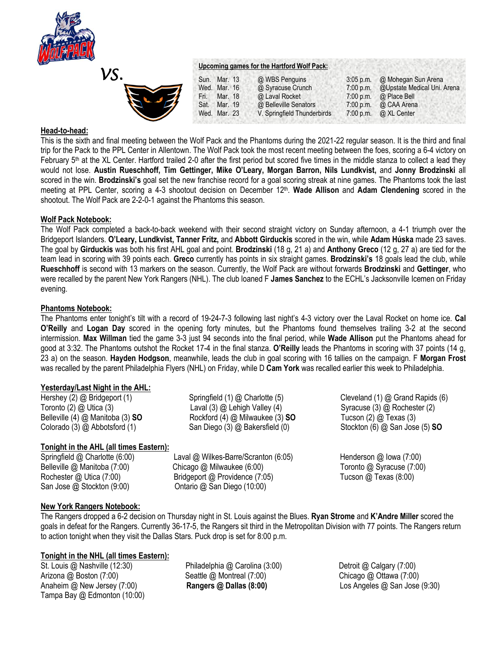



## **Head-to-head:**

This is the sixth and final meeting between the Wolf Pack and the Phantoms during the 2021-22 regular season. It is the third and final trip for the Pack to the PPL Center in Allentown. The Wolf Pack took the most recent meeting between the foes, scoring a 6-4 victory on February  $5<sup>th</sup>$  at the XL Center. Hartford trailed 2-0 after the first period but scored five times in the middle stanza to collect a lead they would not lose. **Austin Rueschhoff, Tim Gettinger, Mike O'Leary, Morgan Barron, Nils Lundkvist,** and **Jonny Brodzinski** all scored in the win. **Brodzinski's** goal set the new franchise record for a goal scoring streak at nine games. The Phantoms took the last meeting at PPL Center, scoring a 4-3 shootout decision on December 12th . **Wade Allison** and **Adam Clendening** scored in the shootout. The Wolf Pack are 2-2-0-1 against the Phantoms this season.

## **Wolf Pack Notebook:**

The Wolf Pack completed a back-to-back weekend with their second straight victory on Sunday afternoon, a 4-1 triumph over the Bridgeport Islanders. **O'Leary, Lundkvist, Tanner Fritz,** and **Abbott Girduckis** scored in the win, while **Adam Húska** made 23 saves. The goal by **Girduckis** was both his first AHL goal and point. **Brodzinski** (18 g, 21 a) and **Anthony Greco** (12 g, 27 a) are tied for the team lead in scoring with 39 points each. **Greco** currently has points in six straight games. **Brodzinski's** 18 goals lead the club, while **Rueschhoff** is second with 13 markers on the season. Currently, the Wolf Pack are without forwards **Brodzinski** and **Gettinger**, who were recalled by the parent New York Rangers (NHL). The club loaned F **James Sanchez** to the ECHL's Jacksonville Icemen on Friday evening.

## **Phantoms Notebook:**

The Phantoms enter tonight's tilt with a record of 19-24-7-3 following last night's 4-3 victory over the Laval Rocket on home ice. **Cal O'Reilly** and **Logan Day** scored in the opening forty minutes, but the Phantoms found themselves trailing 3-2 at the second intermission. **Max Willman** tied the game 3-3 just 94 seconds into the final period, while **Wade Allison** put the Phantoms ahead for good at 3:32. The Phantoms outshot the Rocket 17-4 in the final stanza. **O'Reilly** leads the Phantoms in scoring with 37 points (14 g, 23 a) on the season. **Hayden Hodgson**, meanwhile, leads the club in goal scoring with 16 tallies on the campaign. F **Morgan Frost**  was recalled by the parent Philadelphia Flyers (NHL) on Friday, while D **Cam York** was recalled earlier this week to Philadelphia.

# **Yesterday/Last Night in the AHL:**

Hershey (2) @ Bridgeport (1) Springfield (1) @ Charlotte (5) Cleveland (1) @ Grand Rapids (6) Toronto (2) @ Utica (3) Caval (3) @ Laval (3) @ Lehigh Valley (4) Syracuse (3) @ Rochester (2) Belleville (4) @ Manitoba (3) **SO** Rockford (4) @ Milwaukee (3) **SO** Tucson (2) @ Texas (3) Colorado (3) @ Abbotsford (1) San Diego (3) @ Bakersfield (0) Stockton (6) @ San Jose (5) **SO**

# **Tonight in the AHL (all times Eastern):**

San Jose @ Stockton (9:00) Ontario @ San Diego (10:00)

Springfield @ Charlotte (6:00) Laval @ Wilkes-Barre/Scranton (6:05) Henderson @ Iowa (7:00) Belleville @ Manitoba (7:00) Chicago @ Milwaukee (6:00) Toronto @ Syracuse (7:00) Rochester @ Utica (7:00) Bridgeport @ Providence (7:05) Tucson @ Texas (8:00)

# **New York Rangers Notebook:**

The Rangers dropped a 6-2 decision on Thursday night in St. Louis against the Blues. **Ryan Strome** and **K'Andre Miller** scored the goals in defeat for the Rangers. Currently 36-17-5, the Rangers sit third in the Metropolitan Division with 77 points. The Rangers return to action tonight when they visit the Dallas Stars. Puck drop is set for 8:00 p.m.

# **Tonight in the NHL (all times Eastern):**

Arizona @ Boston (7:00) Seattle @ Montreal (7:00)Chicago @ Ottawa (7:00) Anaheim @ New Jersey (7:00) **Rangers @ Dallas (8:00)** Los Angeles @ San Jose (9:30) Tampa Bay @ Edmonton (10:00)

St. Louis @ Nashville (12:30) *Philadelphia @ Carolina (3:00)* Detroit @ Calgary (7:00)